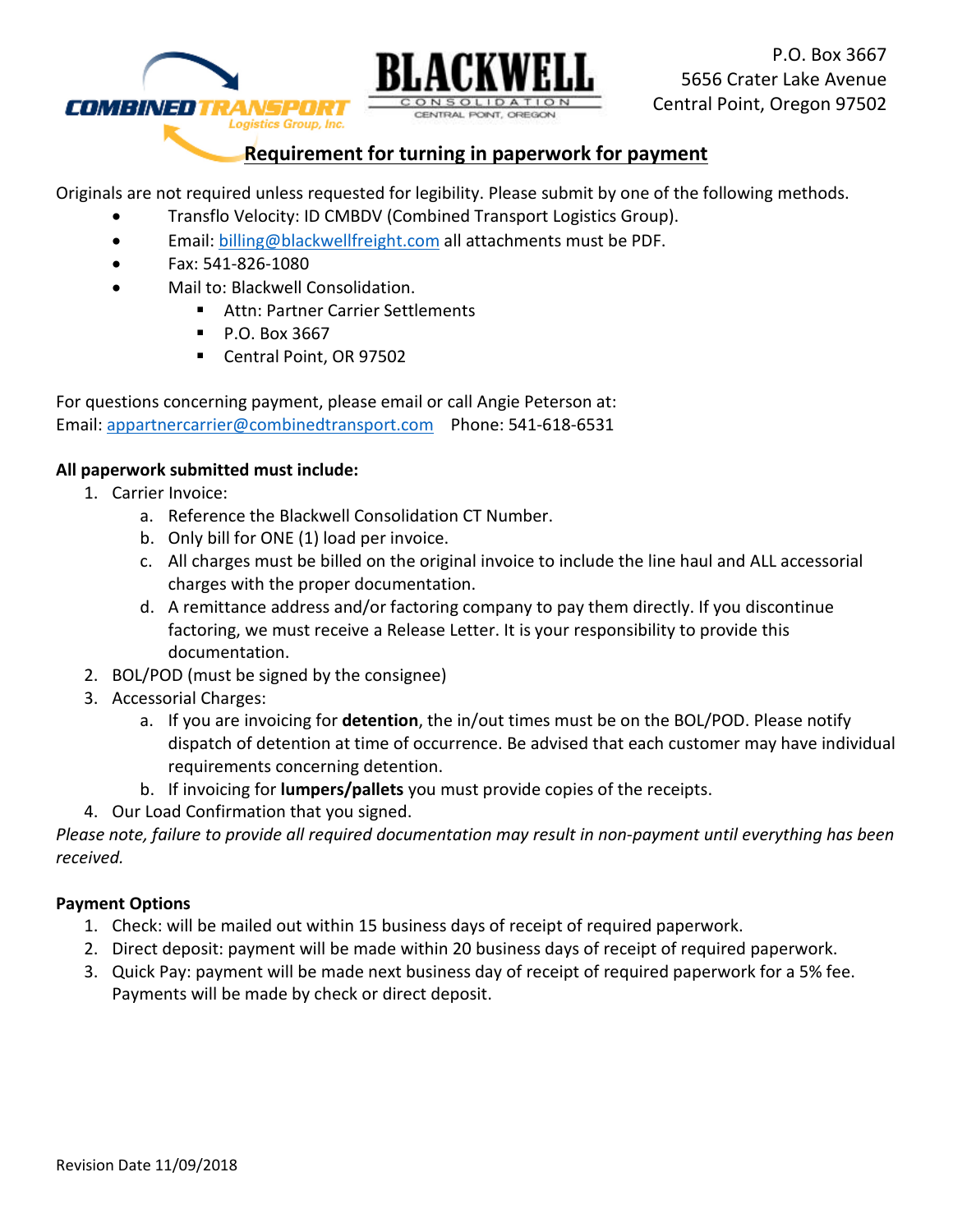



# **Requirement for turning in paperwork for payment**

CENTRAL PONT, OREGO

Originals are not required unless requested for legibility. Please submit by one of the following methods.

- Transflo Velocity: ID CMBDV (Combined Transport Logistics Group).
- Email: [billing@blackwellfreight.com](mailto:billing@blackwellfreight.com) all attachments must be PDF.
- Fax: 541-826-1080
- Mail to: Blackwell Consolidation.
	- Attn: Partner Carrier Settlements
	- P.O. Box 3667
	- Central Point, OR 97502

For questions concerning payment, please email or call Angie Peterson at: Email: appartnercarrier@combinedtransport.com Phone: 541-618-6531

## **All paperwork submitted must include:**

- 1. Carrier Invoice:
	- a. Reference the Blackwell Consolidation CT Number.
	- b. Only bill for ONE (1) load per invoice.
	- c. All charges must be billed on the original invoice to include the line haul and ALL accessorial charges with the proper documentation.
	- d. A remittance address and/or factoring company to pay them directly. If you discontinue factoring, we must receive a Release Letter. It is your responsibility to provide this documentation.
- 2. BOL/POD (must be signed by the consignee)
- 3. Accessorial Charges:
	- a. If you are invoicing for **detention**, the in/out times must be on the BOL/POD. Please notify dispatch of detention at time of occurrence. Be advised that each customer may have individual requirements concerning detention.
	- b. If invoicing for **lumpers/pallets** you must provide copies of the receipts.
- 4. Our Load Confirmation that you signed.

*Please note, failure to provide all required documentation may result in non-payment until everything has been received.*

## **Payment Options**

- 1. Check: will be mailed out within 15 business days of receipt of required paperwork.
- 2. Direct deposit: payment will be made within 20 business days of receipt of required paperwork.
- 3. Quick Pay: payment will be made next business day of receipt of required paperwork for a 5% fee. Payments will be made by check or direct deposit.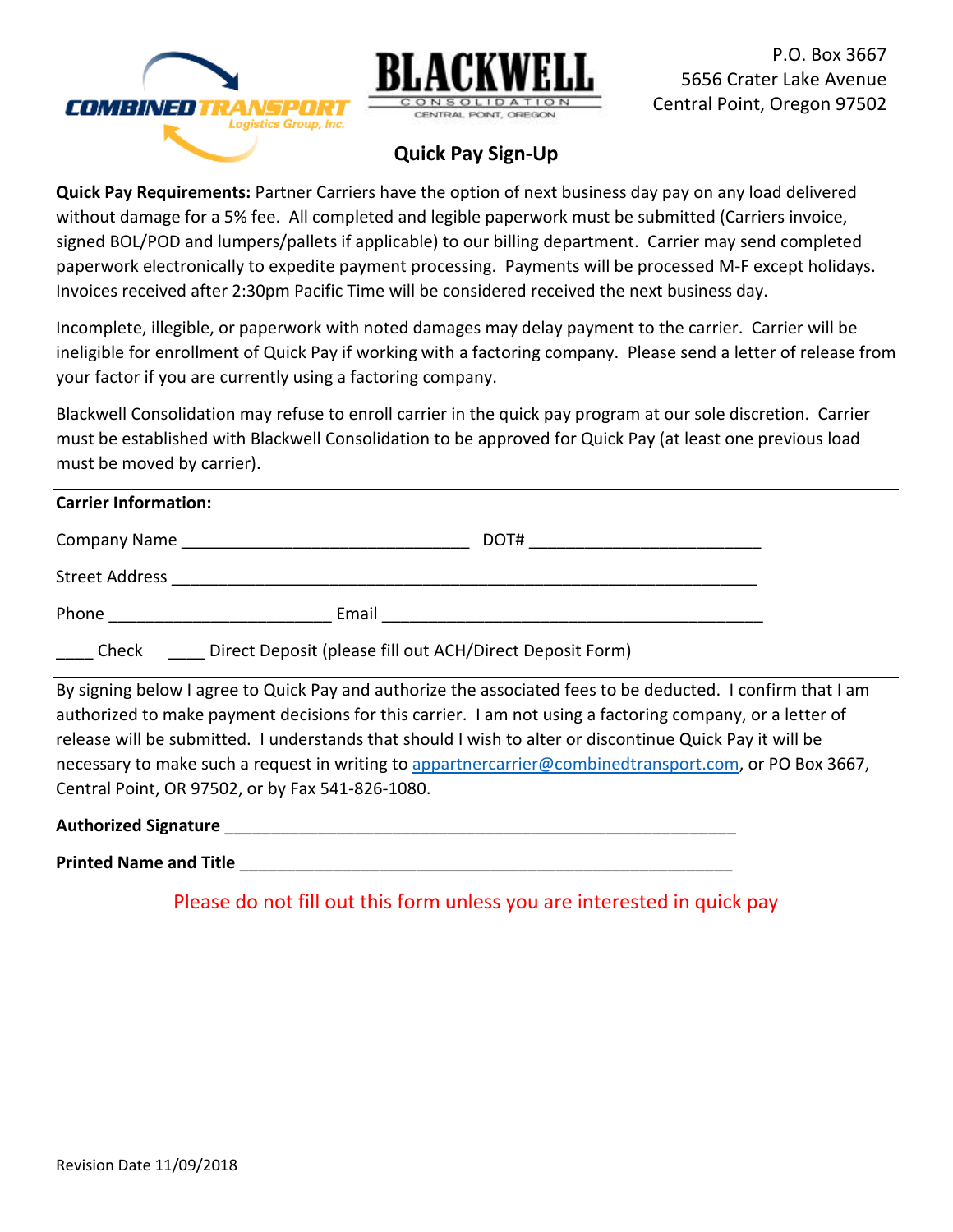



P.O. Box 3667 5656 Crater Lake Avenue Central Point, Oregon 97502

# **Quick Pay Sign-Up**

**Quick Pay Requirements:** Partner Carriers have the option of next business day pay on any load delivered without damage for a 5% fee. All completed and legible paperwork must be submitted (Carriers invoice, signed BOL/POD and lumpers/pallets if applicable) to our billing department. Carrier may send completed paperwork electronically to expedite payment processing. Payments will be processed M-F except holidays. Invoices received after 2:30pm Pacific Time will be considered received the next business day.

Incomplete, illegible, or paperwork with noted damages may delay payment to the carrier. Carrier will be ineligible for enrollment of Quick Pay if working with a factoring company. Please send a letter of release from your factor if you are currently using a factoring company.

Blackwell Consolidation may refuse to enroll carrier in the quick pay program at our sole discretion. Carrier must be established with Blackwell Consolidation to be approved for Quick Pay (at least one previous load must be moved by carrier).

## **Carrier Information:**

| Company Name          |       | DOT# |
|-----------------------|-------|------|
| <b>Street Address</b> |       |      |
| Phone                 | Email |      |

\_\_\_\_ Check \_\_\_\_ Direct Deposit (please fill out ACH/Direct Deposit Form)

By signing below I agree to Quick Pay and authorize the associated fees to be deducted. I confirm that I am authorized to make payment decisions for this carrier. I am not using a factoring company, or a letter of release will be submitted. I understands that should I wish to alter or discontinue Quick Pay it will be necessary to make such a request in writing to [appartnercarrier@combinedtransport.com,](mailto:appartnercarrier@combinedtransport.com) or PO Box 3667, Central Point, OR 97502, or by Fax 541-826-1080.

**Authorized Signature** \_\_\_\_\_\_\_\_\_\_\_\_\_\_\_\_\_\_\_\_\_\_\_\_\_\_\_\_\_\_\_\_\_\_\_\_\_\_\_\_\_\_\_\_\_\_\_\_\_\_\_\_\_\_\_

**Printed Name and Title** 

Please do not fill out this form unless you are interested in quick pay